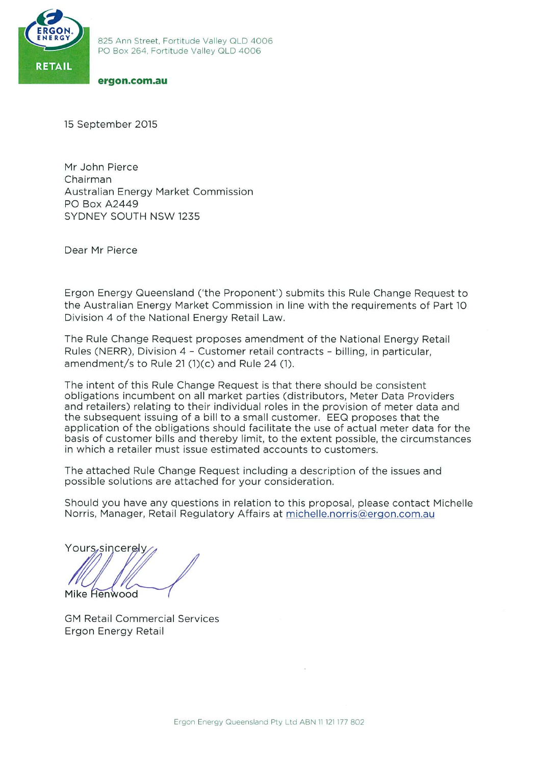

#### ergon.com.au

15 September 2015

Mr John Pierce Chairman **Australian Energy Market Commission PO Box A2449** SYDNEY SOUTH NSW 1235

Dear Mr Pierce

Ergon Energy Queensland ('the Proponent') submits this Rule Change Request to the Australian Energy Market Commission in line with the requirements of Part 10 Division 4 of the National Energy Retail Law.

The Rule Change Request proposes amendment of the National Energy Retail Rules (NERR), Division 4 - Customer retail contracts - billing, in particular. amendment/s to Rule 21  $(1)(c)$  and Rule 24  $(1)$ .

The intent of this Rule Change Request is that there should be consistent obligations incumbent on all market parties (distributors, Meter Data Providers and retailers) relating to their individual roles in the provision of meter data and the subsequent issuing of a bill to a small customer. EEQ proposes that the application of the obligations should facilitate the use of actual meter data for the basis of customer bills and thereby limit, to the extent possible, the circumstances in which a retailer must issue estimated accounts to customers.

The attached Rule Change Request including a description of the issues and possible solutions are attached for your consideration.

Should you have any questions in relation to this proposal, please contact Michelle Norris, Manager, Retail Regulatory Affairs at michelle.norris@ergon.com.au

Yours, sincerely Mike Henwood

**GM Retail Commercial Services** Ergon Energy Retail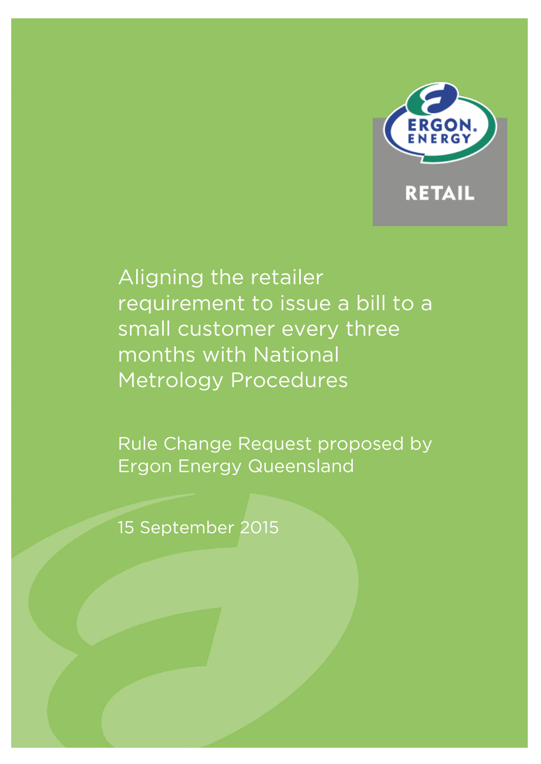

# Aligning the retailer requirement to issue a bill to a small customer every three months with National Metrology Procedures

Rule Change Request proposed by Ergon Energy Queensland

15 September 2015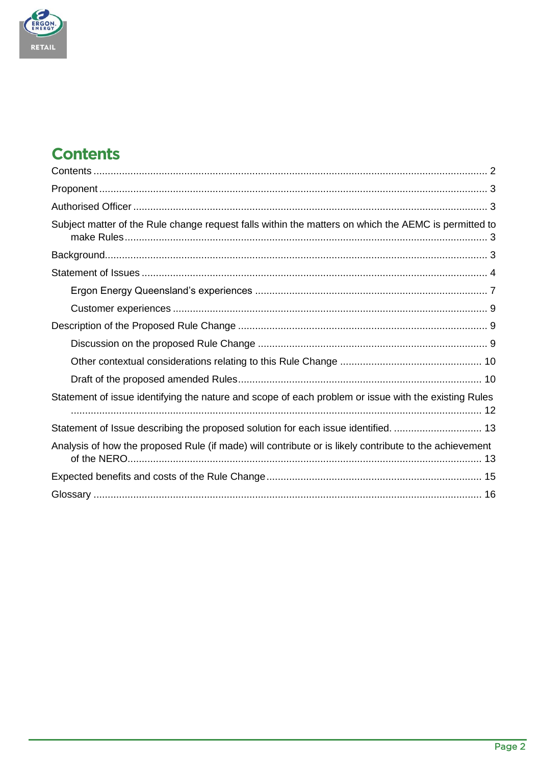

# <span id="page-2-0"></span>**Contents**

| Subject matter of the Rule change request falls within the matters on which the AEMC is permitted to   |
|--------------------------------------------------------------------------------------------------------|
|                                                                                                        |
|                                                                                                        |
|                                                                                                        |
|                                                                                                        |
|                                                                                                        |
|                                                                                                        |
|                                                                                                        |
|                                                                                                        |
| Statement of issue identifying the nature and scope of each problem or issue with the existing Rules   |
| Statement of Issue describing the proposed solution for each issue identified.  13                     |
| Analysis of how the proposed Rule (if made) will contribute or is likely contribute to the achievement |
|                                                                                                        |
|                                                                                                        |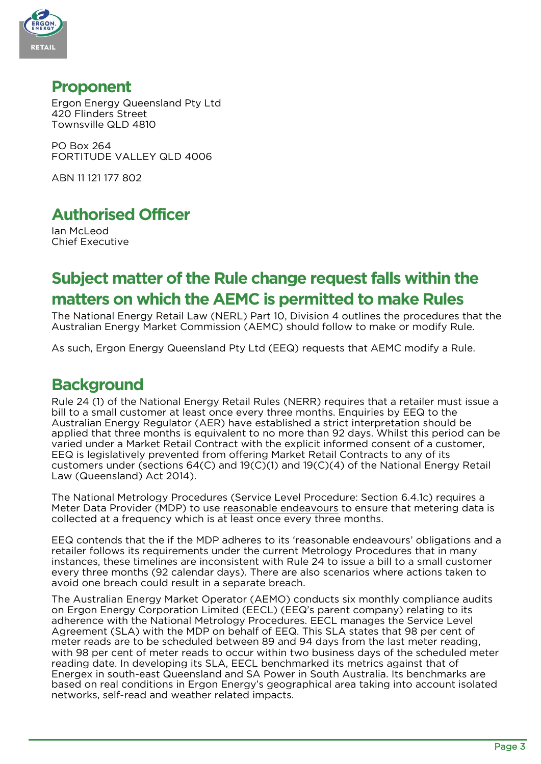

### <span id="page-3-0"></span>**Proponent**

Ergon Energy Queensland Pty Ltd 420 Flinders Street Townsville QLD 4810

PO Box 264 FORTITUDE VALLEY QLD 4006

ABN 11 121 177 802

## <span id="page-3-1"></span>**Authorised Officer**

Ian McLeod Chief Executive

# <span id="page-3-2"></span>**Subject matter of the Rule change request falls within the matters on which the AEMC is permitted to make Rules**

The National Energy Retail Law (NERL) Part 10, Division 4 outlines the procedures that the Australian Energy Market Commission (AEMC) should follow to make or modify Rule.

As such, Ergon Energy Queensland Pty Ltd (EEQ) requests that AEMC modify a Rule.

### <span id="page-3-3"></span>**Background**

Rule 24 (1) of the National Energy Retail Rules (NERR) requires that a retailer must issue a bill to a small customer at least once every three months. Enquiries by EEQ to the Australian Energy Regulator (AER) have established a strict interpretation should be applied that three months is equivalent to no more than 92 days. Whilst this period can be varied under a Market Retail Contract with the explicit informed consent of a customer, EEQ is legislatively prevented from offering Market Retail Contracts to any of its customers under (sections 64(C) and 19(C)(1) and 19(C)(4) of the National Energy Retail Law (Queensland) Act 2014).

The National Metrology Procedures (Service Level Procedure: Section 6.4.1c) requires a Meter Data Provider (MDP) to use reasonable endeavours to ensure that metering data is collected at a frequency which is at least once every three months.

EEQ contends that the if the MDP adheres to its 'reasonable endeavours' obligations and a retailer follows its requirements under the current Metrology Procedures that in many instances, these timelines are inconsistent with Rule 24 to issue a bill to a small customer every three months (92 calendar days). There are also scenarios where actions taken to avoid one breach could result in a separate breach.

The Australian Energy Market Operator (AEMO) conducts six monthly compliance audits on Ergon Energy Corporation Limited (EECL) (EEQ's parent company) relating to its adherence with the National Metrology Procedures. EECL manages the Service Level Agreement (SLA) with the MDP on behalf of EEQ. This SLA states that 98 per cent of meter reads are to be scheduled between 89 and 94 days from the last meter reading, with 98 per cent of meter reads to occur within two business days of the scheduled meter reading date. In developing its SLA, EECL benchmarked its metrics against that of Energex in south-east Queensland and SA Power in South Australia. Its benchmarks are based on real conditions in Ergon Energy's geographical area taking into account isolated networks, self-read and weather related impacts.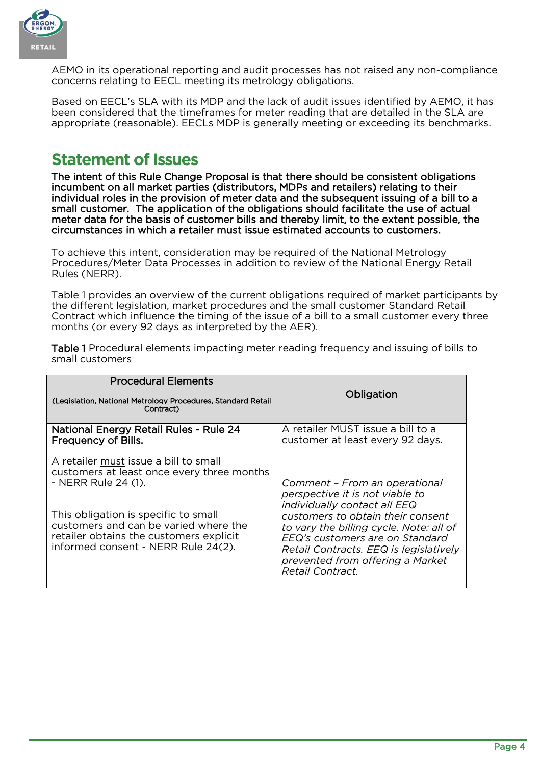

AEMO in its operational reporting and audit processes has not raised any non-compliance concerns relating to EECL meeting its metrology obligations.

Based on EECL's SLA with its MDP and the lack of audit issues identified by AEMO, it has been considered that the timeframes for meter reading that are detailed in the SLA are appropriate (reasonable). EECLs MDP is generally meeting or exceeding its benchmarks.

### <span id="page-4-0"></span>**Statement of Issues**

The intent of this Rule Change Proposal is that there should be consistent obligations incumbent on all market parties (distributors, MDPs and retailers) relating to their individual roles in the provision of meter data and the subsequent issuing of a bill to a small customer. The application of the obligations should facilitate the use of actual meter data for the basis of customer bills and thereby limit, to the extent possible, the circumstances in which a retailer must issue estimated accounts to customers.

To achieve this intent, consideration may be required of the National Metrology Procedures/Meter Data Processes in addition to review of the National Energy Retail Rules (NERR).

Table 1 provides an overview of the current obligations required of market participants by the different legislation, market procedures and the small customer Standard Retail Contract which influence the timing of the issue of a bill to a small customer every three months (or every 92 days as interpreted by the AER).

| <b>Procedural Elements</b><br>(Legislation, National Metrology Procedures, Standard Retail<br>Contract)                                                                                                                                                                       | Obligation                                                                                                                                                                                                                                                                                                                          |
|-------------------------------------------------------------------------------------------------------------------------------------------------------------------------------------------------------------------------------------------------------------------------------|-------------------------------------------------------------------------------------------------------------------------------------------------------------------------------------------------------------------------------------------------------------------------------------------------------------------------------------|
| National Energy Retail Rules - Rule 24<br>Frequency of Bills.                                                                                                                                                                                                                 | A retailer MUST issue a bill to a<br>customer at least every 92 days.                                                                                                                                                                                                                                                               |
| A retailer must issue a bill to small<br>customers at least once every three months<br>- NERR Rule 24 (1).<br>This obligation is specific to small<br>customers and can be varied where the<br>retailer obtains the customers explicit<br>informed consent - NERR Rule 24(2). | Comment - From an operational<br>perspective it is not viable to<br><i>individually contact all EEQ</i><br>customers to obtain their consent<br>to vary the billing cycle. Note: all of<br>EEQ's customers are on Standard<br>Retail Contracts. EEQ is legislatively<br>prevented from offering a Market<br><i>Retail Contract.</i> |

Table 1 Procedural elements impacting meter reading frequency and issuing of bills to small customers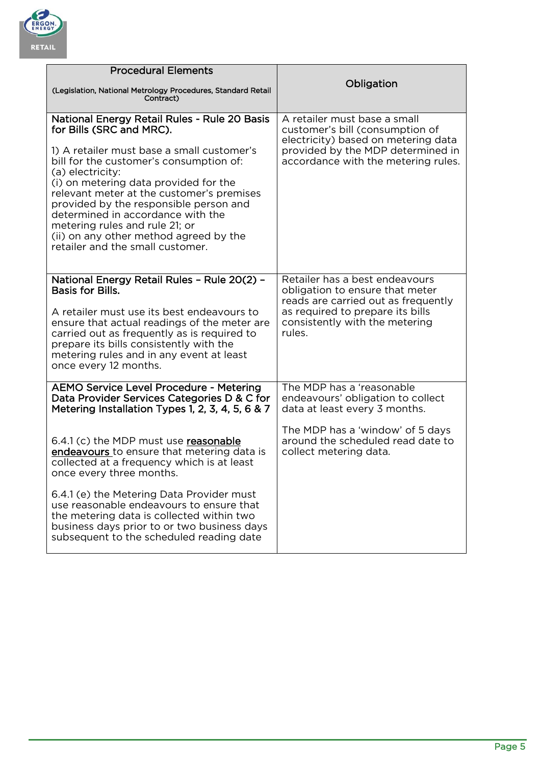

| <b>Procedural Elements</b>                                                                                                                                                                                                                                                                                                                                                                                                                                                 |                                                                                                                                                                                          |
|----------------------------------------------------------------------------------------------------------------------------------------------------------------------------------------------------------------------------------------------------------------------------------------------------------------------------------------------------------------------------------------------------------------------------------------------------------------------------|------------------------------------------------------------------------------------------------------------------------------------------------------------------------------------------|
| (Legislation, National Metrology Procedures, Standard Retail<br>Contract)                                                                                                                                                                                                                                                                                                                                                                                                  | Obligation                                                                                                                                                                               |
| National Energy Retail Rules - Rule 20 Basis<br>for Bills (SRC and MRC).<br>1) A retailer must base a small customer's<br>bill for the customer's consumption of:<br>(a) electricity:<br>(i) on metering data provided for the<br>relevant meter at the customer's premises<br>provided by the responsible person and<br>determined in accordance with the<br>metering rules and rule 21; or<br>(ii) on any other method agreed by the<br>retailer and the small customer. | A retailer must base a small<br>customer's bill (consumption of<br>electricity) based on metering data<br>provided by the MDP determined in<br>accordance with the metering rules.       |
| National Energy Retail Rules - Rule 20(2) -<br><b>Basis for Bills.</b><br>A retailer must use its best endeavours to<br>ensure that actual readings of the meter are<br>carried out as frequently as is required to<br>prepare its bills consistently with the<br>metering rules and in any event at least<br>once every 12 months.                                                                                                                                        | Retailer has a best endeavours<br>obligation to ensure that meter<br>reads are carried out as frequently<br>as required to prepare its bills<br>consistently with the metering<br>rules. |
| <b>AEMO Service Level Procedure - Metering</b><br>Data Provider Services Categories D & C for<br>Metering Installation Types 1, 2, 3, 4, 5, 6 & 7                                                                                                                                                                                                                                                                                                                          | The MDP has a 'reasonable<br>endeavours' obligation to collect<br>data at least every 3 months.                                                                                          |
| 6.4.1 (c) the MDP must use reasonable<br>endeavours to ensure that metering data is<br>collected at a frequency which is at least<br>once every three months.<br>6.4.1 (e) the Metering Data Provider must<br>use reasonable endeavours to ensure that<br>the metering data is collected within two<br>business days prior to or two business days                                                                                                                         | The MDP has a 'window' of 5 days<br>around the scheduled read date to<br>collect metering data.                                                                                          |
| subsequent to the scheduled reading date                                                                                                                                                                                                                                                                                                                                                                                                                                   |                                                                                                                                                                                          |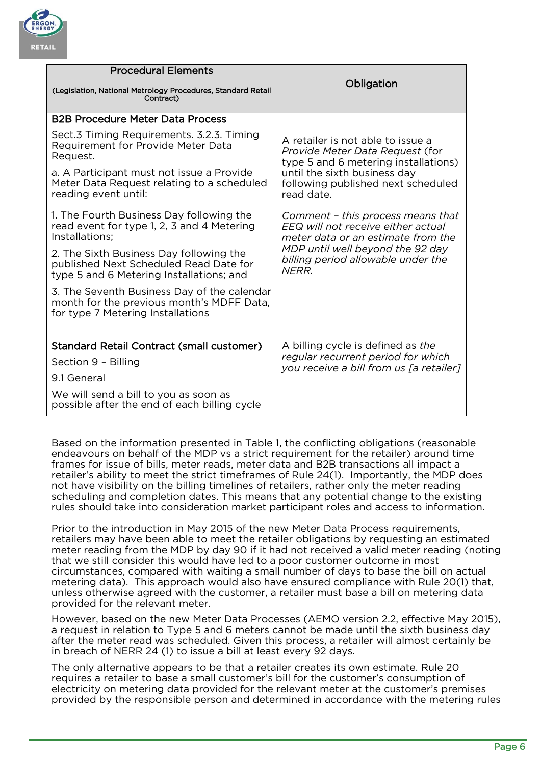

| <b>Procedural Elements</b>                                                                                                    |                                                                                                               |  |
|-------------------------------------------------------------------------------------------------------------------------------|---------------------------------------------------------------------------------------------------------------|--|
| (Legislation, National Metrology Procedures, Standard Retail<br>Contract)                                                     | Obligation                                                                                                    |  |
| <b>B2B Procedure Meter Data Process</b>                                                                                       |                                                                                                               |  |
| Sect.3 Timing Requirements. 3.2.3. Timing<br>Requirement for Provide Meter Data<br>Request.                                   | A retailer is not able to issue a<br>Provide Meter Data Request (for<br>type 5 and 6 metering installations)  |  |
| a. A Participant must not issue a Provide<br>Meter Data Request relating to a scheduled<br>reading event until:               | until the sixth business day<br>following published next scheduled<br>read date.                              |  |
| 1. The Fourth Business Day following the<br>read event for type 1, 2, 3 and 4 Metering<br>Installations;                      | Comment - this process means that<br>EEQ will not receive either actual<br>meter data or an estimate from the |  |
| 2. The Sixth Business Day following the<br>published Next Scheduled Read Date for<br>type 5 and 6 Metering Installations; and | MDP until well beyond the 92 day<br>billing period allowable under the<br>NFRR.                               |  |
| 3. The Seventh Business Day of the calendar<br>month for the previous month's MDFF Data,<br>for type 7 Metering Installations |                                                                                                               |  |
| <b>Standard Retail Contract (small customer)</b>                                                                              | A billing cycle is defined as the                                                                             |  |
| Section 9 - Billing                                                                                                           | regular recurrent period for which<br>you receive a bill from us [a retailer]                                 |  |
| 9.1 General                                                                                                                   |                                                                                                               |  |
| We will send a bill to you as soon as<br>possible after the end of each billing cycle                                         |                                                                                                               |  |

Based on the information presented in Table 1, the conflicting obligations (reasonable endeavours on behalf of the MDP vs a strict requirement for the retailer) around time frames for issue of bills, meter reads, meter data and B2B transactions all impact a retailer's ability to meet the strict timeframes of Rule 24(1). Importantly, the MDP does not have visibility on the billing timelines of retailers, rather only the meter reading scheduling and completion dates. This means that any potential change to the existing rules should take into consideration market participant roles and access to information.

Prior to the introduction in May 2015 of the new Meter Data Process requirements, retailers may have been able to meet the retailer obligations by requesting an estimated meter reading from the MDP by day 90 if it had not received a valid meter reading (noting that we still consider this would have led to a poor customer outcome in most circumstances, compared with waiting a small number of days to base the bill on actual metering data). This approach would also have ensured compliance with Rule 20(1) that, unless otherwise agreed with the customer, a retailer must base a bill on metering data provided for the relevant meter.

However, based on the new Meter Data Processes (AEMO version 2.2, effective May 2015), a request in relation to Type 5 and 6 meters cannot be made until the sixth business day after the meter read was scheduled. Given this process, a retailer will almost certainly be in breach of NERR 24 (1) to issue a bill at least every 92 days.

The only alternative appears to be that a retailer creates its own estimate. Rule 20 requires a retailer to base a small customer's bill for the customer's consumption of electricity on metering data provided for the relevant meter at the customer's premises provided by the responsible person and determined in accordance with the metering rules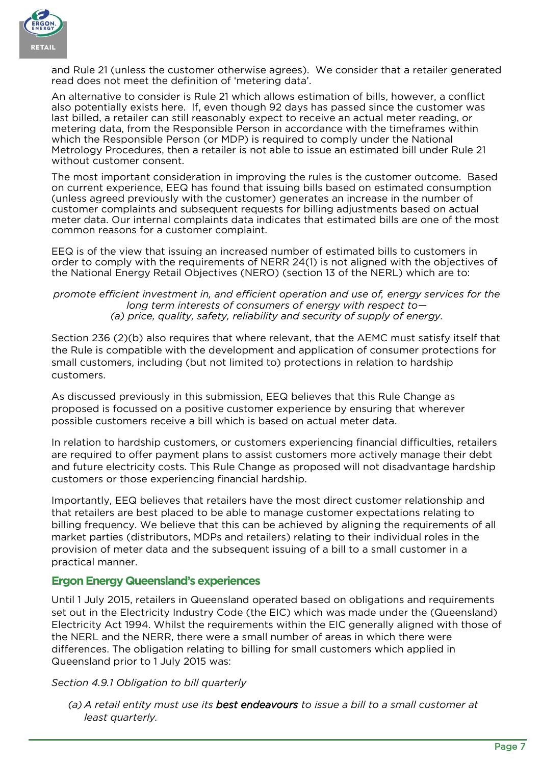

and Rule 21 (unless the customer otherwise agrees). We consider that a retailer generated read does not meet the definition of 'metering data'.

An alternative to consider is Rule 21 which allows estimation of bills, however, a conflict also potentially exists here. If, even though 92 days has passed since the customer was last billed, a retailer can still reasonably expect to receive an actual meter reading, or metering data, from the Responsible Person in accordance with the timeframes within which the Responsible Person (or MDP) is required to comply under the National Metrology Procedures, then a retailer is not able to issue an estimated bill under Rule 21 without customer consent.

The most important consideration in improving the rules is the customer outcome. Based on current experience, EEQ has found that issuing bills based on estimated consumption (unless agreed previously with the customer) generates an increase in the number of customer complaints and subsequent requests for billing adjustments based on actual meter data. Our internal complaints data indicates that estimated bills are one of the most common reasons for a customer complaint.

EEQ is of the view that issuing an increased number of estimated bills to customers in order to comply with the requirements of NERR 24(1) is not aligned with the objectives of the National Energy Retail Objectives (NERO) (section 13 of the NERL) which are to:

#### *promote efficient investment in, and efficient operation and use of, energy services for the long term interests of consumers of energy with respect to— (a) price, quality, safety, reliability and security of supply of energy.*

Section 236 (2)(b) also requires that where relevant, that the AEMC must satisfy itself that the Rule is compatible with the development and application of consumer protections for small customers, including (but not limited to) protections in relation to hardship customers.

As discussed previously in this submission, EEQ believes that this Rule Change as proposed is focussed on a positive customer experience by ensuring that wherever possible customers receive a bill which is based on actual meter data.

In relation to hardship customers, or customers experiencing financial difficulties, retailers are required to offer payment plans to assist customers more actively manage their debt and future electricity costs. This Rule Change as proposed will not disadvantage hardship customers or those experiencing financial hardship.

Importantly, EEQ believes that retailers have the most direct customer relationship and that retailers are best placed to be able to manage customer expectations relating to billing frequency. We believe that this can be achieved by aligning the requirements of all market parties (distributors, MDPs and retailers) relating to their individual roles in the provision of meter data and the subsequent issuing of a bill to a small customer in a practical manner.

### <span id="page-7-0"></span>**Ergon Energy Queensland's experiences**

Until 1 July 2015, retailers in Queensland operated based on obligations and requirements set out in the Electricity Industry Code (the EIC) which was made under the (Queensland) Electricity Act 1994. Whilst the requirements within the EIC generally aligned with those of the NERL and the NERR, there were a small number of areas in which there were differences. The obligation relating to billing for small customers which applied in Queensland prior to 1 July 2015 was:

### *Section 4.9.1 Obligation to bill quarterly*

*(a) A retail entity must use its best endeavours to issue a bill to a small customer at least quarterly.*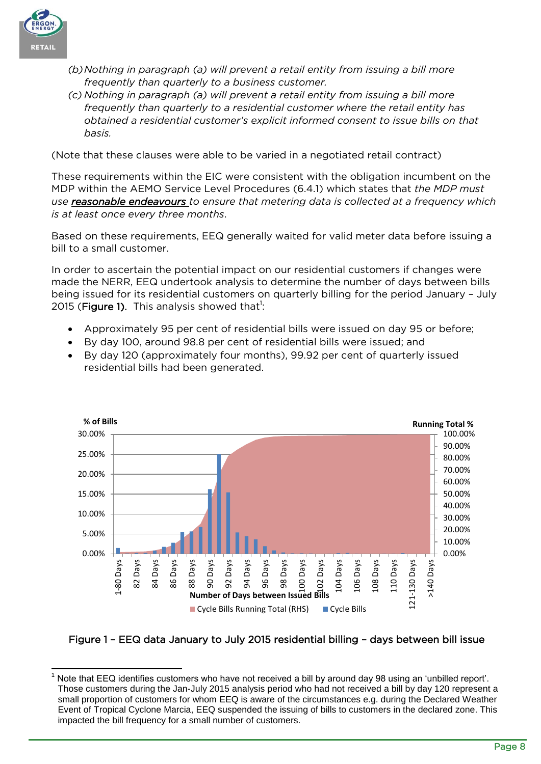

- *(b)Nothing in paragraph (a) will prevent a retail entity from issuing a bill more frequently than quarterly to a business customer.*
- *(c) Nothing in paragraph (a) will prevent a retail entity from issuing a bill more frequently than quarterly to a residential customer where the retail entity has obtained a residential customer's explicit informed consent to issue bills on that basis.*

(Note that these clauses were able to be varied in a negotiated retail contract)

These requirements within the EIC were consistent with the obligation incumbent on the MDP within the AEMO Service Level Procedures (6.4.1) which states that *the MDP must use reasonable endeavours to ensure that metering data is collected at a frequency which is at least once every three months*.

Based on these requirements, EEQ generally waited for valid meter data before issuing a bill to a small customer.

In order to ascertain the potential impact on our residential customers if changes were made the NERR, EEQ undertook analysis to determine the number of days between bills being issued for its residential customers on quarterly billing for the period January – July 2015 (Figure 1). This analysis showed that<sup>1</sup>:

- Approximately 95 per cent of residential bills were issued on day 95 or before;
- By day 100, around 98.8 per cent of residential bills were issued; and
- By day 120 (approximately four months), 99.92 per cent of quarterly issued residential bills had been generated.



Figure 1 – EEQ data January to July 2015 residential billing – days between bill issue

<sup>-</sup>Note that EEQ identifies customers who have not received a bill by around day 98 using an 'unbilled report'. Those customers during the Jan-July 2015 analysis period who had not received a bill by day 120 represent a small proportion of customers for whom EEQ is aware of the circumstances e.g. during the Declared Weather Event of Tropical Cyclone Marcia, EEQ suspended the issuing of bills to customers in the declared zone. This impacted the bill frequency for a small number of customers.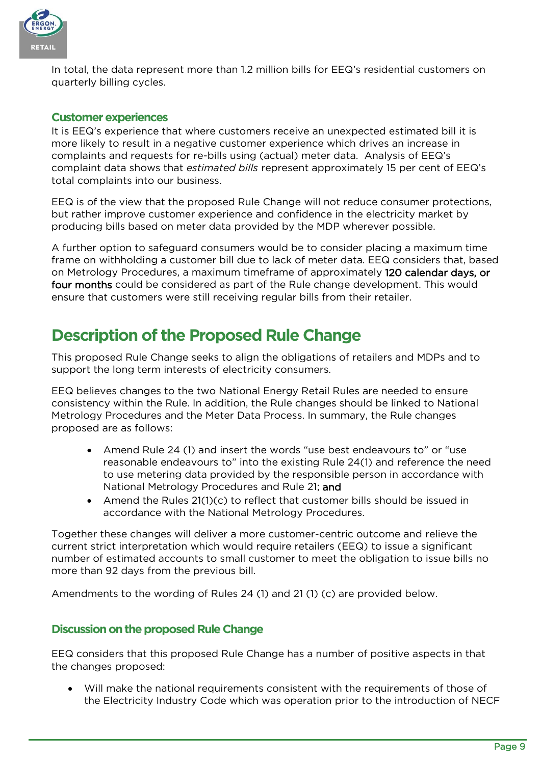

In total, the data represent more than 1.2 million bills for EEQ's residential customers on quarterly billing cycles.

### <span id="page-9-0"></span>**Customer experiences**

It is EEQ's experience that where customers receive an unexpected estimated bill it is more likely to result in a negative customer experience which drives an increase in complaints and requests for re-bills using (actual) meter data. Analysis of EEQ's complaint data shows that *estimated bills* represent approximately 15 per cent of EEQ's total complaints into our business.

EEQ is of the view that the proposed Rule Change will not reduce consumer protections, but rather improve customer experience and confidence in the electricity market by producing bills based on meter data provided by the MDP wherever possible.

A further option to safeguard consumers would be to consider placing a maximum time frame on withholding a customer bill due to lack of meter data. EEQ considers that, based on Metrology Procedures, a maximum timeframe of approximately 120 calendar days, or four months could be considered as part of the Rule change development. This would ensure that customers were still receiving regular bills from their retailer.

# <span id="page-9-1"></span>**Description of the Proposed Rule Change**

This proposed Rule Change seeks to align the obligations of retailers and MDPs and to support the long term interests of electricity consumers.

EEQ believes changes to the two National Energy Retail Rules are needed to ensure consistency within the Rule. In addition, the Rule changes should be linked to National Metrology Procedures and the Meter Data Process. In summary, the Rule changes proposed are as follows:

- Amend Rule 24 (1) and insert the words "use best endeavours to" or "use reasonable endeavours to" into the existing Rule 24(1) and reference the need to use metering data provided by the responsible person in accordance with National Metrology Procedures and Rule 21; and
- Amend the Rules 21(1)(c) to reflect that customer bills should be issued in accordance with the National Metrology Procedures.

Together these changes will deliver a more customer-centric outcome and relieve the current strict interpretation which would require retailers (EEQ) to issue a significant number of estimated accounts to small customer to meet the obligation to issue bills no more than 92 days from the previous bill.

Amendments to the wording of Rules 24 (1) and 21 (1) (c) are provided below.

### <span id="page-9-2"></span>**Discussion on the proposed Rule Change**

EEQ considers that this proposed Rule Change has a number of positive aspects in that the changes proposed:

 Will make the national requirements consistent with the requirements of those of the Electricity Industry Code which was operation prior to the introduction of NECF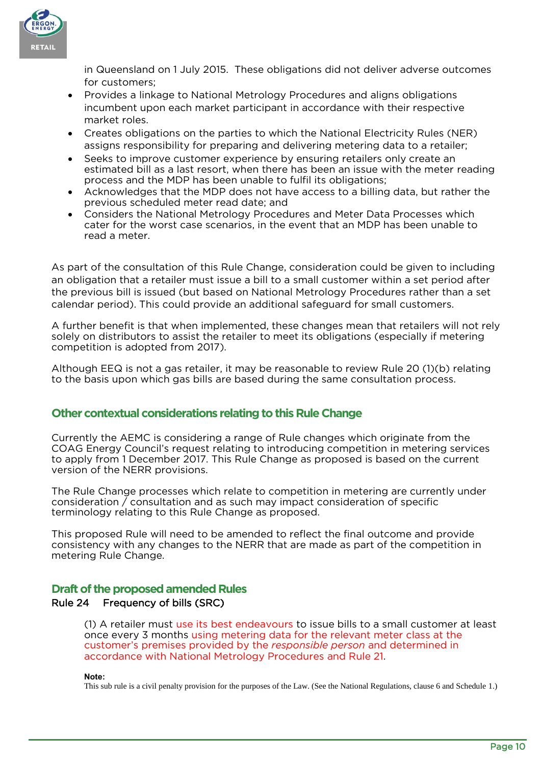

in Queensland on 1 July 2015. These obligations did not deliver adverse outcomes for customers;

- Provides a linkage to National Metrology Procedures and aligns obligations incumbent upon each market participant in accordance with their respective market roles.
- Creates obligations on the parties to which the National Electricity Rules (NER) assigns responsibility for preparing and delivering metering data to a retailer;
- Seeks to improve customer experience by ensuring retailers only create an estimated bill as a last resort, when there has been an issue with the meter reading process and the MDP has been unable to fulfil its obligations;
- Acknowledges that the MDP does not have access to a billing data, but rather the previous scheduled meter read date; and
- Considers the National Metrology Procedures and Meter Data Processes which cater for the worst case scenarios, in the event that an MDP has been unable to read a meter.

As part of the consultation of this Rule Change, consideration could be given to including an obligation that a retailer must issue a bill to a small customer within a set period after the previous bill is issued (but based on National Metrology Procedures rather than a set calendar period). This could provide an additional safeguard for small customers.

A further benefit is that when implemented, these changes mean that retailers will not rely solely on distributors to assist the retailer to meet its obligations (especially if metering competition is adopted from 2017).

Although EEQ is not a gas retailer, it may be reasonable to review Rule 20 (1)(b) relating to the basis upon which gas bills are based during the same consultation process.

### <span id="page-10-0"></span>**Other contextual considerations relating to this Rule Change**

Currently the AEMC is considering a range of Rule changes which originate from the COAG Energy Council's request relating to introducing competition in metering services to apply from 1 December 2017. This Rule Change as proposed is based on the current version of the NERR provisions.

The Rule Change processes which relate to competition in metering are currently under consideration / consultation and as such may impact consideration of specific terminology relating to this Rule Change as proposed.

This proposed Rule will need to be amended to reflect the final outcome and provide consistency with any changes to the NERR that are made as part of the competition in metering Rule Change.

### <span id="page-10-1"></span>**Draft of the proposed amended Rules**

### Rule 24 Frequency of bills (SRC)

(1) A retailer must use its best endeavours to issue bills to a small customer at least once every 3 months using metering data for the relevant meter class at the customer's premises provided by the *responsible person* and determined in accordance with National Metrology Procedures and Rule 21.

**Note:** 

This sub rule is a civil penalty provision for the purposes of the Law. (See the National Regulations, clause 6 and Schedule 1.)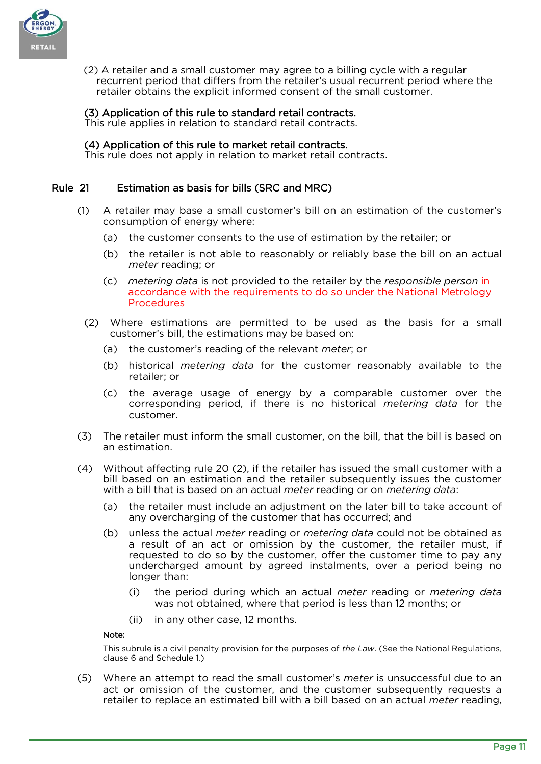

(2) A retailer and a small customer may agree to a billing cycle with a regular recurrent period that differs from the retailer's usual recurrent period where the retailer obtains the explicit informed consent of the small customer.

#### (3) Application of this rule to standard retail contracts.

This rule applies in relation to standard retail contracts.

#### (4) Application of this rule to market retail contracts.

This rule does not apply in relation to market retail contracts.

#### Rule 21 Estimation as basis for bills (SRC and MRC)

- (1) A retailer may base a small customer's bill on an estimation of the customer's consumption of energy where:
	- (a) the customer consents to the use of estimation by the retailer; or
	- (b) the retailer is not able to reasonably or reliably base the bill on an actual *meter* reading; or
	- (c) *metering data* is not provided to the retailer by the *responsible person* in accordance with the requirements to do so under the National Metrology Procedures
	- (2) Where estimations are permitted to be used as the basis for a small customer's bill, the estimations may be based on:
		- (a) the customer's reading of the relevant *meter*; or
		- (b) historical *metering data* for the customer reasonably available to the retailer; or
		- (c) the average usage of energy by a comparable customer over the corresponding period, if there is no historical *metering data* for the customer.
- (3) The retailer must inform the small customer, on the bill, that the bill is based on an estimation.
- (4) Without affecting rule 20 (2), if the retailer has issued the small customer with a bill based on an estimation and the retailer subsequently issues the customer with a bill that is based on an actual *meter* reading or on *metering data*:
	- (a) the retailer must include an adjustment on the later bill to take account of any overcharging of the customer that has occurred; and
	- (b) unless the actual *meter* reading or *metering data* could not be obtained as a result of an act or omission by the customer, the retailer must, if requested to do so by the customer, offer the customer time to pay any undercharged amount by agreed instalments, over a period being no longer than:
		- (i) the period during which an actual *meter* reading or *metering data* was not obtained, where that period is less than 12 months; or
		- (ii) in any other case, 12 months.

#### Note:

This subrule is a civil penalty provision for the purposes of *the Law*. (See the National Regulations, clause 6 and Schedule 1.)

(5) Where an attempt to read the small customer's *meter* is unsuccessful due to an act or omission of the customer, and the customer subsequently requests a retailer to replace an estimated bill with a bill based on an actual *meter* reading,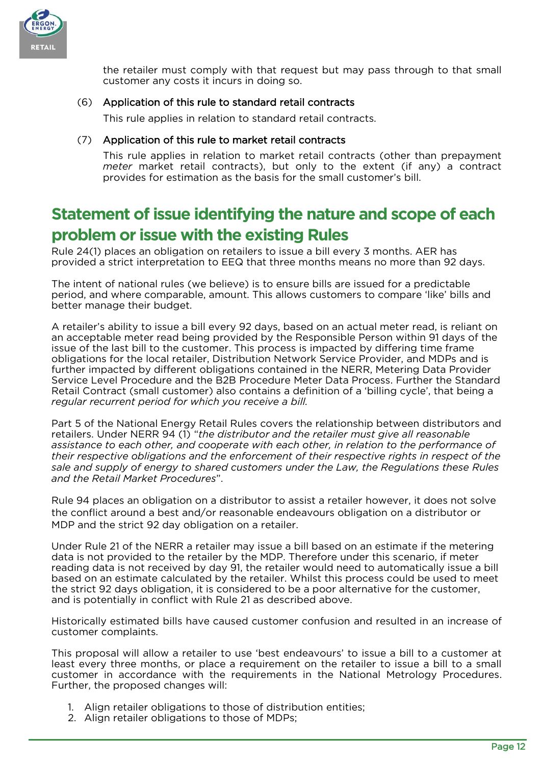

the retailer must comply with that request but may pass through to that small customer any costs it incurs in doing so.

### (6) Application of this rule to standard retail contracts

This rule applies in relation to standard retail contracts.

#### (7) Application of this rule to market retail contracts

This rule applies in relation to market retail contracts (other than prepayment *meter* market retail contracts), but only to the extent (if any) a contract provides for estimation as the basis for the small customer's bill.

## <span id="page-12-0"></span>**Statement of issue identifying the nature and scope of each problem or issue with the existing Rules**

Rule 24(1) places an obligation on retailers to issue a bill every 3 months. AER has provided a strict interpretation to EEQ that three months means no more than 92 days.

The intent of national rules (we believe) is to ensure bills are issued for a predictable period, and where comparable, amount. This allows customers to compare 'like' bills and better manage their budget.

A retailer's ability to issue a bill every 92 days, based on an actual meter read, is reliant on an acceptable meter read being provided by the Responsible Person within 91 days of the issue of the last bill to the customer. This process is impacted by differing time frame obligations for the local retailer, Distribution Network Service Provider, and MDPs and is further impacted by different obligations contained in the NERR, Metering Data Provider Service Level Procedure and the B2B Procedure Meter Data Process. Further the Standard Retail Contract (small customer) also contains a definition of a 'billing cycle', that being a *regular recurrent period for which you receive a bill.*

Part 5 of the National Energy Retail Rules covers the relationship between distributors and retailers. Under NERR 94 (1) "*the distributor and the retailer must give all reasonable assistance to each other, and cooperate with each other, in relation to the performance of their respective obligations and the enforcement of their respective rights in respect of the sale and supply of energy to shared customers under the Law, the Regulations these Rules and the Retail Market Procedures*".

Rule 94 places an obligation on a distributor to assist a retailer however, it does not solve the conflict around a best and/or reasonable endeavours obligation on a distributor or MDP and the strict 92 day obligation on a retailer.

Under Rule 21 of the NERR a retailer may issue a bill based on an estimate if the metering data is not provided to the retailer by the MDP. Therefore under this scenario, if meter reading data is not received by day 91, the retailer would need to automatically issue a bill based on an estimate calculated by the retailer. Whilst this process could be used to meet the strict 92 days obligation, it is considered to be a poor alternative for the customer, and is potentially in conflict with Rule 21 as described above.

Historically estimated bills have caused customer confusion and resulted in an increase of customer complaints.

This proposal will allow a retailer to use 'best endeavours' to issue a bill to a customer at least every three months, or place a requirement on the retailer to issue a bill to a small customer in accordance with the requirements in the National Metrology Procedures. Further, the proposed changes will:

- 1. Align retailer obligations to those of distribution entities;
- 2. Align retailer obligations to those of MDPs;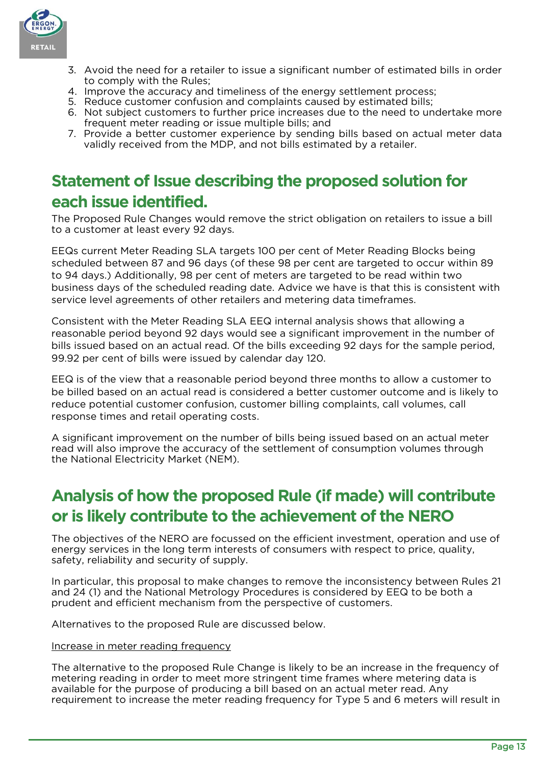

- 3. Avoid the need for a retailer to issue a significant number of estimated bills in order to comply with the Rules;
- 4. Improve the accuracy and timeliness of the energy settlement process;
- 5. Reduce customer confusion and complaints caused by estimated bills;
- 6. Not subject customers to further price increases due to the need to undertake more frequent meter reading or issue multiple bills; and
- 7. Provide a better customer experience by sending bills based on actual meter data validly received from the MDP, and not bills estimated by a retailer.

# <span id="page-13-0"></span>**Statement of Issue describing the proposed solution for each issue identified.**

The Proposed Rule Changes would remove the strict obligation on retailers to issue a bill to a customer at least every 92 days.

EEQs current Meter Reading SLA targets 100 per cent of Meter Reading Blocks being scheduled between 87 and 96 days (of these 98 per cent are targeted to occur within 89 to 94 days.) Additionally, 98 per cent of meters are targeted to be read within two business days of the scheduled reading date. Advice we have is that this is consistent with service level agreements of other retailers and metering data timeframes.

Consistent with the Meter Reading SLA EEQ internal analysis shows that allowing a reasonable period beyond 92 days would see a significant improvement in the number of bills issued based on an actual read. Of the bills exceeding 92 days for the sample period, 99.92 per cent of bills were issued by calendar day 120.

EEQ is of the view that a reasonable period beyond three months to allow a customer to be billed based on an actual read is considered a better customer outcome and is likely to reduce potential customer confusion, customer billing complaints, call volumes, call response times and retail operating costs.

A significant improvement on the number of bills being issued based on an actual meter read will also improve the accuracy of the settlement of consumption volumes through the National Electricity Market (NEM).

# <span id="page-13-1"></span>**Analysis of how the proposed Rule (if made) will contribute or is likely contribute to the achievement of the NERO**

The objectives of the NERO are focussed on the efficient investment, operation and use of energy services in the long term interests of consumers with respect to price, quality, safety, reliability and security of supply.

In particular, this proposal to make changes to remove the inconsistency between Rules 21 and 24 (1) and the National Metrology Procedures is considered by EEQ to be both a prudent and efficient mechanism from the perspective of customers.

Alternatives to the proposed Rule are discussed below.

#### Increase in meter reading frequency

The alternative to the proposed Rule Change is likely to be an increase in the frequency of metering reading in order to meet more stringent time frames where metering data is available for the purpose of producing a bill based on an actual meter read. Any requirement to increase the meter reading frequency for Type 5 and 6 meters will result in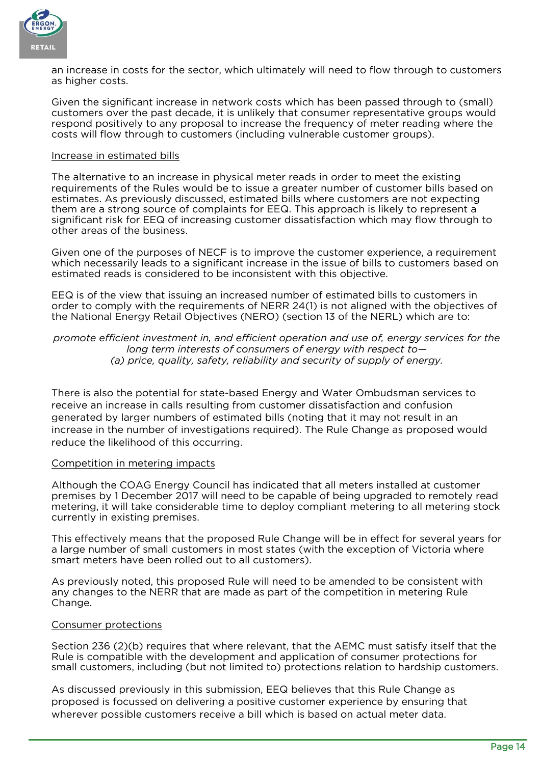

an increase in costs for the sector, which ultimately will need to flow through to customers as higher costs.

Given the significant increase in network costs which has been passed through to (small) customers over the past decade, it is unlikely that consumer representative groups would respond positively to any proposal to increase the frequency of meter reading where the costs will flow through to customers (including vulnerable customer groups).

#### Increase in estimated bills

The alternative to an increase in physical meter reads in order to meet the existing requirements of the Rules would be to issue a greater number of customer bills based on estimates. As previously discussed, estimated bills where customers are not expecting them are a strong source of complaints for EEQ. This approach is likely to represent a significant risk for EEQ of increasing customer dissatisfaction which may flow through to other areas of the business.

Given one of the purposes of NECF is to improve the customer experience, a requirement which necessarily leads to a significant increase in the issue of bills to customers based on estimated reads is considered to be inconsistent with this objective.

EEQ is of the view that issuing an increased number of estimated bills to customers in order to comply with the requirements of NERR 24(1) is not aligned with the objectives of the National Energy Retail Objectives (NERO) (section 13 of the NERL) which are to:

#### *promote efficient investment in, and efficient operation and use of, energy services for the long term interests of consumers of energy with respect to— (a) price, quality, safety, reliability and security of supply of energy.*

There is also the potential for state-based Energy and Water Ombudsman services to receive an increase in calls resulting from customer dissatisfaction and confusion generated by larger numbers of estimated bills (noting that it may not result in an increase in the number of investigations required). The Rule Change as proposed would reduce the likelihood of this occurring.

#### Competition in metering impacts

Although the COAG Energy Council has indicated that all meters installed at customer premises by 1 December 2017 will need to be capable of being upgraded to remotely read metering, it will take considerable time to deploy compliant metering to all metering stock currently in existing premises.

This effectively means that the proposed Rule Change will be in effect for several years for a large number of small customers in most states (with the exception of Victoria where smart meters have been rolled out to all customers).

As previously noted, this proposed Rule will need to be amended to be consistent with any changes to the NERR that are made as part of the competition in metering Rule Change.

#### Consumer protections

Section 236 (2)(b) requires that where relevant, that the AEMC must satisfy itself that the Rule is compatible with the development and application of consumer protections for small customers, including (but not limited to) protections relation to hardship customers.

As discussed previously in this submission, EEQ believes that this Rule Change as proposed is focussed on delivering a positive customer experience by ensuring that wherever possible customers receive a bill which is based on actual meter data.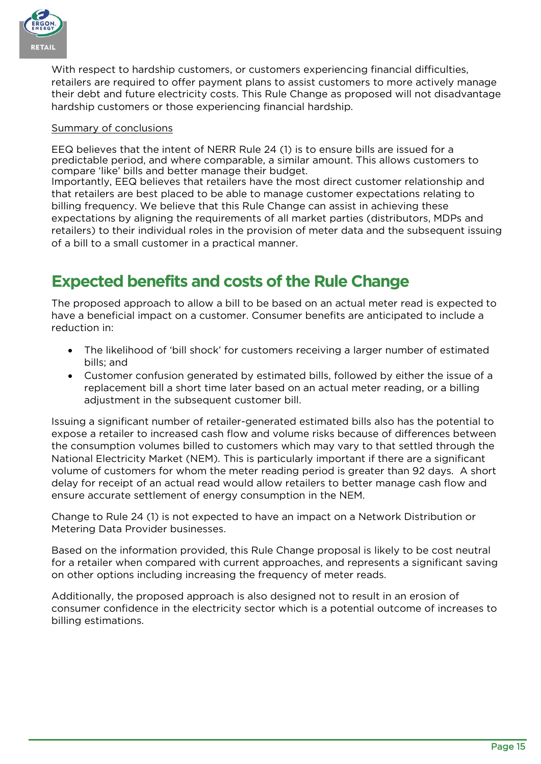

With respect to hardship customers, or customers experiencing financial difficulties, retailers are required to offer payment plans to assist customers to more actively manage their debt and future electricity costs. This Rule Change as proposed will not disadvantage hardship customers or those experiencing financial hardship.

#### Summary of conclusions

EEQ believes that the intent of NERR Rule 24 (1) is to ensure bills are issued for a predictable period, and where comparable, a similar amount. This allows customers to compare 'like' bills and better manage their budget.

Importantly, EEQ believes that retailers have the most direct customer relationship and that retailers are best placed to be able to manage customer expectations relating to billing frequency. We believe that this Rule Change can assist in achieving these expectations by aligning the requirements of all market parties (distributors, MDPs and retailers) to their individual roles in the provision of meter data and the subsequent issuing of a bill to a small customer in a practical manner.

# <span id="page-15-0"></span>**Expected benefits and costs of the Rule Change**

The proposed approach to allow a bill to be based on an actual meter read is expected to have a beneficial impact on a customer. Consumer benefits are anticipated to include a reduction in:

- The likelihood of 'bill shock' for customers receiving a larger number of estimated bills; and
- Customer confusion generated by estimated bills, followed by either the issue of a replacement bill a short time later based on an actual meter reading, or a billing adjustment in the subsequent customer bill.

Issuing a significant number of retailer-generated estimated bills also has the potential to expose a retailer to increased cash flow and volume risks because of differences between the consumption volumes billed to customers which may vary to that settled through the National Electricity Market (NEM). This is particularly important if there are a significant volume of customers for whom the meter reading period is greater than 92 days. A short delay for receipt of an actual read would allow retailers to better manage cash flow and ensure accurate settlement of energy consumption in the NEM.

Change to Rule 24 (1) is not expected to have an impact on a Network Distribution or Metering Data Provider businesses.

Based on the information provided, this Rule Change proposal is likely to be cost neutral for a retailer when compared with current approaches, and represents a significant saving on other options including increasing the frequency of meter reads.

Additionally, the proposed approach is also designed not to result in an erosion of consumer confidence in the electricity sector which is a potential outcome of increases to billing estimations.